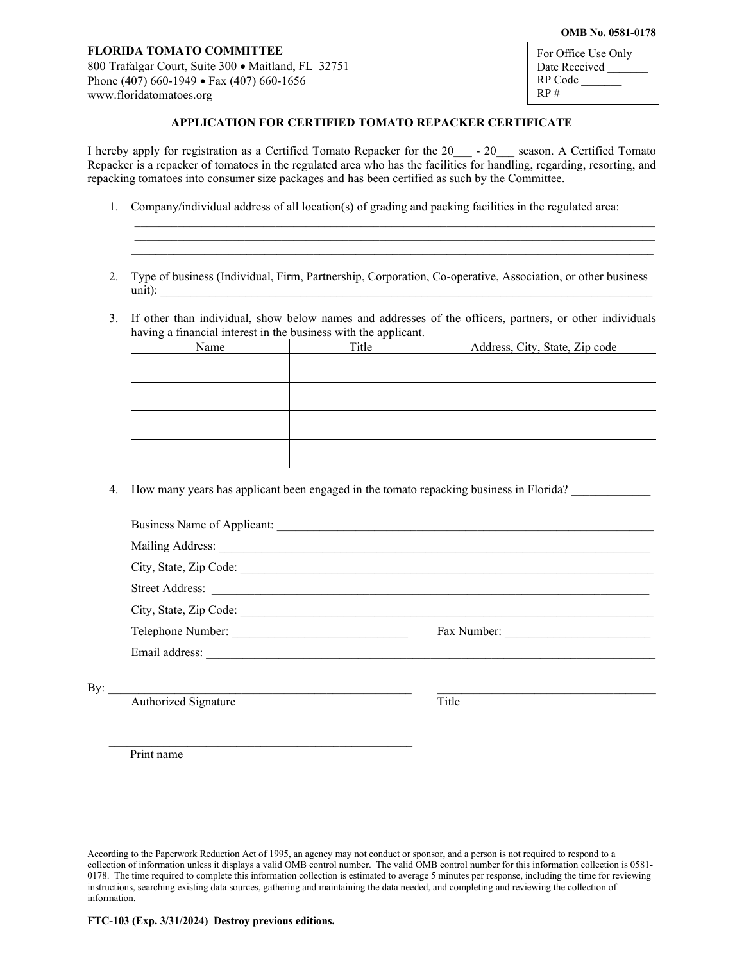## **OMB No. 0581-0178**

## **FLORIDA TOMATO COMMITTEE**

800 Trafalgar Court, Suite 300 • Maitland, FL 32751 Phone (407) 660-1949 • Fax (407) 660-1656 [www.floridatomatoes.org](http://www.floridatomatoes.org/)

For Office Use Only Date Received RP Code  $RP#$ 

## **APPLICATION FOR CERTIFIED TOMATO REPACKER CERTIFICATE**

I hereby apply for registration as a Certified Tomato Repacker for the 20<sup>-1</sup> - 20\_\_\_ season. A Certified Tomato Repacker is a repacker of tomatoes in the regulated area who has the facilities for handling, regarding, resorting, and repacking tomatoes into consumer size packages and has been certified as such by the Committee.

- 1. Company/individual address of all location(s) of grading and packing facilities in the regulated area:
- 2. Type of business (Individual, Firm, Partnership, Corporation, Co-operative, Association, or other business  $\text{unit}:$

 $\mathcal{L}_\mathcal{L} = \{ \mathcal{L}_\mathcal{L} = \{ \mathcal{L}_\mathcal{L} = \{ \mathcal{L}_\mathcal{L} = \{ \mathcal{L}_\mathcal{L} = \{ \mathcal{L}_\mathcal{L} = \{ \mathcal{L}_\mathcal{L} = \{ \mathcal{L}_\mathcal{L} = \{ \mathcal{L}_\mathcal{L} = \{ \mathcal{L}_\mathcal{L} = \{ \mathcal{L}_\mathcal{L} = \{ \mathcal{L}_\mathcal{L} = \{ \mathcal{L}_\mathcal{L} = \{ \mathcal{L}_\mathcal{L} = \{ \mathcal{L}_\mathcal{$  $\mathcal{L}_\mathcal{L} = \{ \mathcal{L}_\mathcal{L} = \{ \mathcal{L}_\mathcal{L} = \{ \mathcal{L}_\mathcal{L} = \{ \mathcal{L}_\mathcal{L} = \{ \mathcal{L}_\mathcal{L} = \{ \mathcal{L}_\mathcal{L} = \{ \mathcal{L}_\mathcal{L} = \{ \mathcal{L}_\mathcal{L} = \{ \mathcal{L}_\mathcal{L} = \{ \mathcal{L}_\mathcal{L} = \{ \mathcal{L}_\mathcal{L} = \{ \mathcal{L}_\mathcal{L} = \{ \mathcal{L}_\mathcal{L} = \{ \mathcal{L}_\mathcal{$ \_\_\_\_\_\_\_\_\_\_\_\_\_\_\_\_\_\_\_\_\_\_\_\_\_\_\_\_\_\_\_\_\_\_\_\_\_\_\_\_\_\_\_\_\_\_\_\_\_\_\_\_\_\_\_\_\_\_\_\_\_\_\_\_\_\_\_\_\_\_\_\_\_\_\_\_\_\_\_\_\_\_\_\_\_\_

3. If other than individual, show below names and addresses of the officers, partners, or other individuals having a financial interest in the business with the applicant.

| Name | Title | Address, City, State, Zip code |
|------|-------|--------------------------------|
|      |       |                                |
|      |       |                                |
|      |       |                                |
|      |       |                                |
|      |       |                                |
|      |       |                                |
|      |       |                                |
|      |       |                                |

4. How many years has applicant been engaged in the tomato repacking business in Florida?

|     | Telephone Number:    |       | Fax Number: |
|-----|----------------------|-------|-------------|
|     |                      |       |             |
| By: |                      |       |             |
|     | Authorized Signature | Title |             |
|     |                      |       |             |
|     |                      |       |             |

Print name

According to the Paperwork Reduction Act of 1995, an agency may not conduct or sponsor, and a person is not required to respond to a collection of information unless it displays a valid OMB control number. The valid OMB control number for this information collection is 0581- 0178. The time required to complete this information collection is estimated to average 5 minutes per response, including the time for reviewing instructions, searching existing data sources, gathering and maintaining the data needed, and completing and reviewing the collection of information.